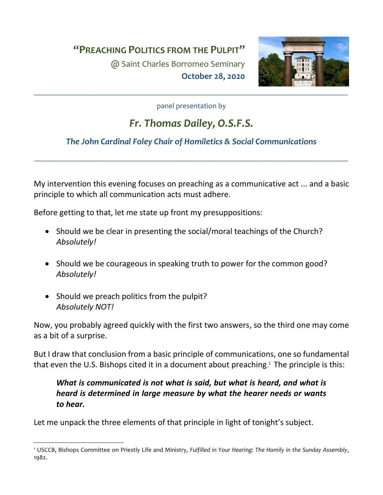**"PREACHING POLITICS FROM THE PULPIT"**

@ Saint Charles Borromeo Seminary **October 28, 2020**



panel presentation by

\_\_\_\_\_\_\_\_\_\_\_\_\_\_\_\_\_\_\_\_\_\_\_\_\_\_\_\_\_\_\_\_\_\_\_\_\_\_\_\_\_\_\_\_\_\_\_\_\_\_\_\_\_\_\_\_\_\_\_\_\_\_\_\_\_\_\_\_\_\_\_\_\_\_\_\_\_\_\_\_\_\_\_

# *Fr. Thomas Dailey, O.S.F.S.*

## *The John Cardinal Foley Chair of Homiletics & Social Communications*

\_\_\_\_\_\_\_\_\_\_\_\_\_\_\_\_\_\_\_\_\_\_\_\_\_\_\_\_\_\_\_\_\_\_\_\_\_\_\_\_\_\_\_\_\_\_\_\_\_\_\_\_\_\_\_\_\_\_\_\_\_\_\_\_\_\_\_\_\_\_\_\_\_\_\_\_\_\_\_\_\_\_\_

My intervention this evening focuses on preaching as a communicative act ... and a basic principle to which all communication acts must adhere.

Before getting to that, let me state up front my presuppositions:

- Should we be clear in presenting the social/moral teachings of the Church? *Absolutely!*
- Should we be courageous in speaking truth to power for the common good? *Absolutely!*
- Should we preach politics from the pulpit? *Absolutely NOT!*

Now, you probably agreed quickly with the first two answers, so the third one may come as a bit of a surprise.

But I draw that conclusion from a basic principle of communications, one so fundamental that even the U.S. Bishops cited it in a document about preaching. 1 The principle is this:

## *What is communicated is not what is said, but what is heard, and what is heard is determined in large measure by what the hearer needs or wants to hear.*

Let me unpack the three elements of that principle in light of tonight's subject.

<sup>1</sup> USCCB, Bishops Committee on Priestly Life and Ministry, *Fulfilled in Your Hearing: The Homily in the Sunday Assembly*, 1982.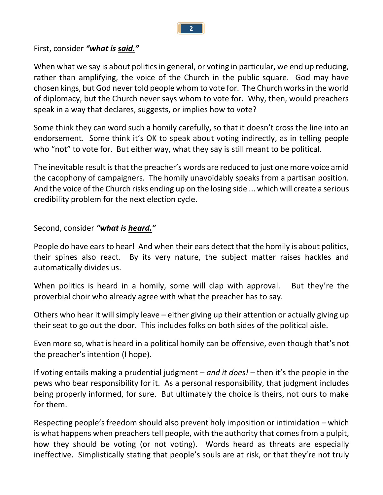**2**

#### First, consider *"what is said."*

When what we say is about politics in general, or voting in particular, we end up reducing, rather than amplifying, the voice of the Church in the public square. God may have chosen kings, but God never told people whom to vote for. The Church works in the world of diplomacy, but the Church never says whom to vote for. Why, then, would preachers speak in a way that declares, suggests, or implies how to vote?

Some think they can word such a homily carefully, so that it doesn't cross the line into an endorsement. Some think it's OK to speak about voting indirectly, as in telling people who "not" to vote for. But either way, what they say is still meant to be political.

The inevitable result is that the preacher's words are reduced to just one more voice amid the cacophony of campaigners. The homily unavoidably speaks from a partisan position. And the voice of the Church risks ending up on the losing side ... which will create a serious credibility problem for the next election cycle.

Second, consider *"what is heard."*

People do have ears to hear! And when their ears detect that the homily is about politics, their spines also react. By its very nature, the subject matter raises hackles and automatically divides us.

When politics is heard in a homily, some will clap with approval. But they're the proverbial choir who already agree with what the preacher has to say.

Others who hear it will simply leave – either giving up their attention or actually giving up their seat to go out the door. This includes folks on both sides of the political aisle.

Even more so, what is heard in a political homily can be offensive, even though that's not the preacher's intention (I hope).

If voting entails making a prudential judgment – *and it does!* – then it's the people in the pews who bear responsibility for it. As a personal responsibility, that judgment includes being properly informed, for sure. But ultimately the choice is theirs, not ours to make for them.

Respecting people's freedom should also prevent holy imposition or intimidation – which is what happens when preachers tell people, with the authority that comes from a pulpit, how they should be voting (or not voting). Words heard as threats are especially ineffective. Simplistically stating that people's souls are at risk, or that they're not truly